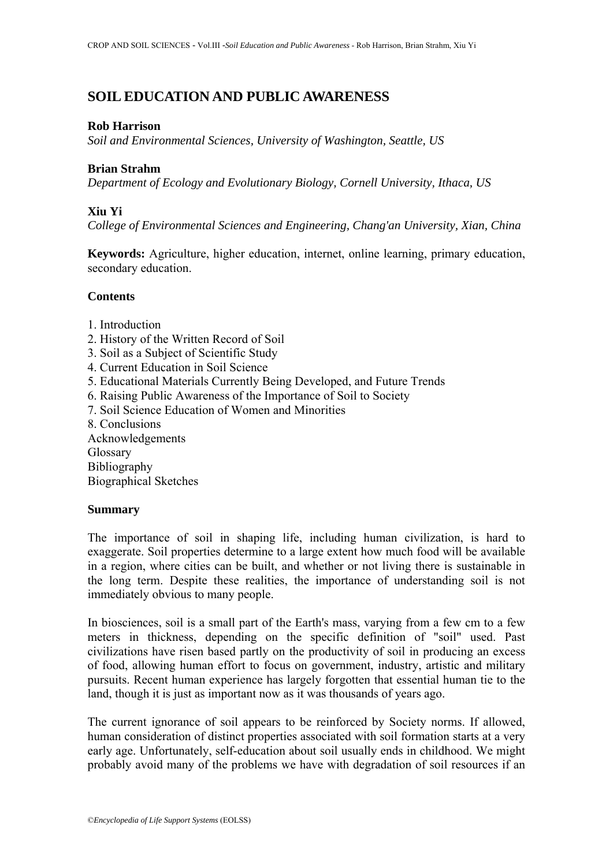# **SOIL EDUCATION AND PUBLIC AWARENESS**

### **Rob Harrison**

*Soil and Environmental Sciences, University of Washington, Seattle, US*

## **Brian Strahm**

*Department of Ecology and Evolutionary Biology, Cornell University, Ithaca, US*

## **Xiu Yi**

*College of Environmental Sciences and Engineering, Chang'an University, Xian, China*

**Keywords:** Agriculture, higher education, internet, online learning, primary education, secondary education.

## **Contents**

- 1. Introduction
- 2. History of the Written Record of Soil
- 3. Soil as a Subject of Scientific Study
- 4. Current Education in Soil Science
- 5. Educational Materials Currently Being Developed, and Future Trends
- 6. Raising Public Awareness of the Importance of Soil to Society
- 7. Soil Science Education of Women and Minorities
- 8. Conclusions

Acknowledgements Glossary Bibliography Biographical Sketches

### **Summary**

The importance of soil in shaping life, including human civilization, is hard to exaggerate. Soil properties determine to a large extent how much food will be available in a region, where cities can be built, and whether or not living there is sustainable in the long term. Despite these realities, the importance of understanding soil is not immediately obvious to many people.

In biosciences, soil is a small part of the Earth's mass, varying from a few cm to a few meters in thickness, depending on the specific definition of "soil" used. Past civilizations have risen based partly on the productivity of soil in producing an excess of food, allowing human effort to focus on government, industry, artistic and military pursuits. Recent human experience has largely forgotten that essential human tie to the land, though it is just as important now as it was thousands of years ago.

The current ignorance of soil appears to be reinforced by Society norms. If allowed, human consideration of distinct properties associated with soil formation starts at a very early age. Unfortunately, self-education about soil usually ends in childhood. We might probably avoid many of the problems we have with degradation of soil resources if an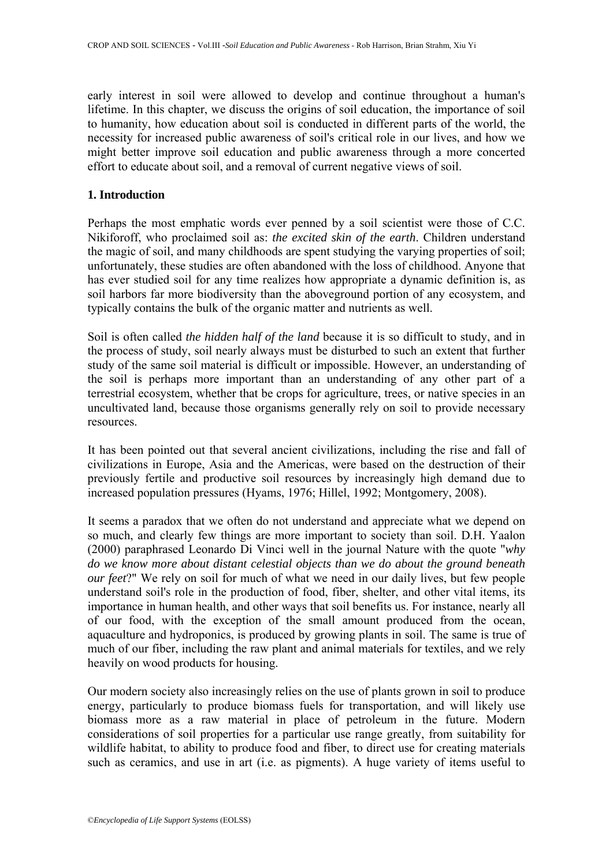early interest in soil were allowed to develop and continue throughout a human's lifetime. In this chapter, we discuss the origins of soil education, the importance of soil to humanity, how education about soil is conducted in different parts of the world, the necessity for increased public awareness of soil's critical role in our lives, and how we might better improve soil education and public awareness through a more concerted effort to educate about soil, and a removal of current negative views of soil.

### **1. Introduction**

Perhaps the most emphatic words ever penned by a soil scientist were those of C.C. Nikiforoff, who proclaimed soil as: *the excited skin of the earth*. Children understand the magic of soil, and many childhoods are spent studying the varying properties of soil; unfortunately, these studies are often abandoned with the loss of childhood. Anyone that has ever studied soil for any time realizes how appropriate a dynamic definition is, as soil harbors far more biodiversity than the aboveground portion of any ecosystem, and typically contains the bulk of the organic matter and nutrients as well.

Soil is often called *the hidden half of the land* because it is so difficult to study, and in the process of study, soil nearly always must be disturbed to such an extent that further study of the same soil material is difficult or impossible. However, an understanding of the soil is perhaps more important than an understanding of any other part of a terrestrial ecosystem, whether that be crops for agriculture, trees, or native species in an uncultivated land, because those organisms generally rely on soil to provide necessary resources.

It has been pointed out that several ancient civilizations, including the rise and fall of civilizations in Europe, Asia and the Americas, were based on the destruction of their previously fertile and productive soil resources by increasingly high demand due to increased population pressures (Hyams, 1976; Hillel, 1992; Montgomery, 2008).

It seems a paradox that we often do not understand and appreciate what we depend on so much, and clearly few things are more important to society than soil. D.H. Yaalon (2000) paraphrased Leonardo Di Vinci well in the journal Nature with the quote "*why do we know more about distant celestial objects than we do about the ground beneath our feet*?" We rely on soil for much of what we need in our daily lives, but few people understand soil's role in the production of food, fiber, shelter, and other vital items, its importance in human health, and other ways that soil benefits us. For instance, nearly all of our food, with the exception of the small amount produced from the ocean, aquaculture and hydroponics, is produced by growing plants in soil. The same is true of much of our fiber, including the raw plant and animal materials for textiles, and we rely heavily on wood products for housing.

Our modern society also increasingly relies on the use of plants grown in soil to produce energy, particularly to produce biomass fuels for transportation, and will likely use biomass more as a raw material in place of petroleum in the future. Modern considerations of soil properties for a particular use range greatly, from suitability for wildlife habitat, to ability to produce food and fiber, to direct use for creating materials such as ceramics, and use in art (i.e. as pigments). A huge variety of items useful to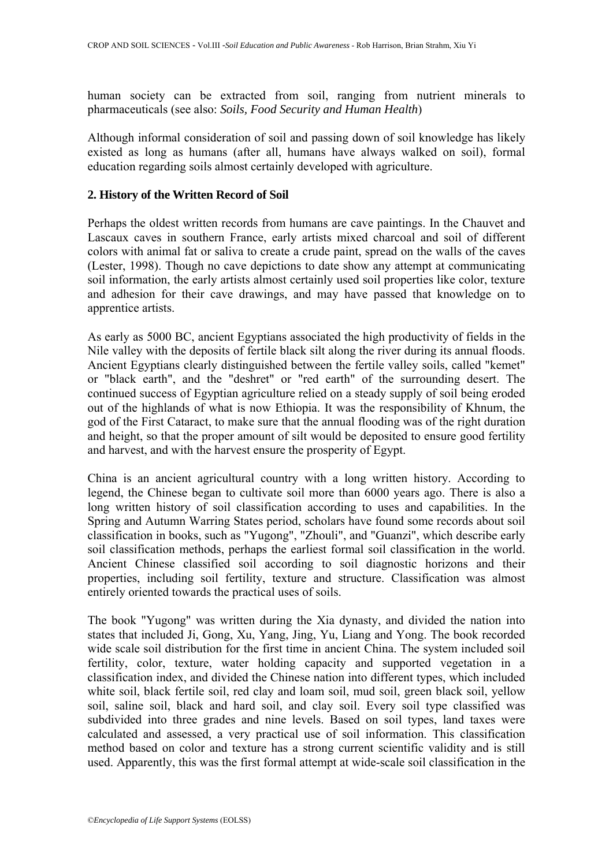human society can be extracted from soil, ranging from nutrient minerals to pharmaceuticals (see also: *Soils, Food Security and Human Health*)

Although informal consideration of soil and passing down of soil knowledge has likely existed as long as humans (after all, humans have always walked on soil), formal education regarding soils almost certainly developed with agriculture.

## **2. History of the Written Record of Soil**

Perhaps the oldest written records from humans are cave paintings. In the Chauvet and Lascaux caves in southern France, early artists mixed charcoal and soil of different colors with animal fat or saliva to create a crude paint, spread on the walls of the caves (Lester, 1998). Though no cave depictions to date show any attempt at communicating soil information, the early artists almost certainly used soil properties like color, texture and adhesion for their cave drawings, and may have passed that knowledge on to apprentice artists.

As early as 5000 BC, ancient Egyptians associated the high productivity of fields in the Nile valley with the deposits of fertile black silt along the river during its annual floods. Ancient Egyptians clearly distinguished between the fertile valley soils, called "kemet" or "black earth", and the "deshret" or "red earth" of the surrounding desert. The continued success of Egyptian agriculture relied on a steady supply of soil being eroded out of the highlands of what is now Ethiopia. It was the responsibility of Khnum, the god of the First Cataract, to make sure that the annual flooding was of the right duration and height, so that the proper amount of silt would be deposited to ensure good fertility and harvest, and with the harvest ensure the prosperity of Egypt.

China is an ancient agricultural country with a long written history. According to legend, the Chinese began to cultivate soil more than 6000 years ago. There is also a long written history of soil classification according to uses and capabilities. In the Spring and Autumn Warring States period, scholars have found some records about soil classification in books, such as "Yugong", "Zhouli", and "Guanzi", which describe early soil classification methods, perhaps the earliest formal soil classification in the world. Ancient Chinese classified soil according to soil diagnostic horizons and their properties, including soil fertility, texture and structure. Classification was almost entirely oriented towards the practical uses of soils.

The book "Yugong" was written during the Xia dynasty, and divided the nation into states that included Ji, Gong, Xu, Yang, Jing, Yu, Liang and Yong. The book recorded wide scale soil distribution for the first time in ancient China. The system included soil fertility, color, texture, water holding capacity and supported vegetation in a classification index, and divided the Chinese nation into different types, which included white soil, black fertile soil, red clay and loam soil, mud soil, green black soil, yellow soil, saline soil, black and hard soil, and clay soil. Every soil type classified was subdivided into three grades and nine levels. Based on soil types, land taxes were calculated and assessed, a very practical use of soil information. This classification method based on color and texture has a strong current scientific validity and is still used. Apparently, this was the first formal attempt at wide-scale soil classification in the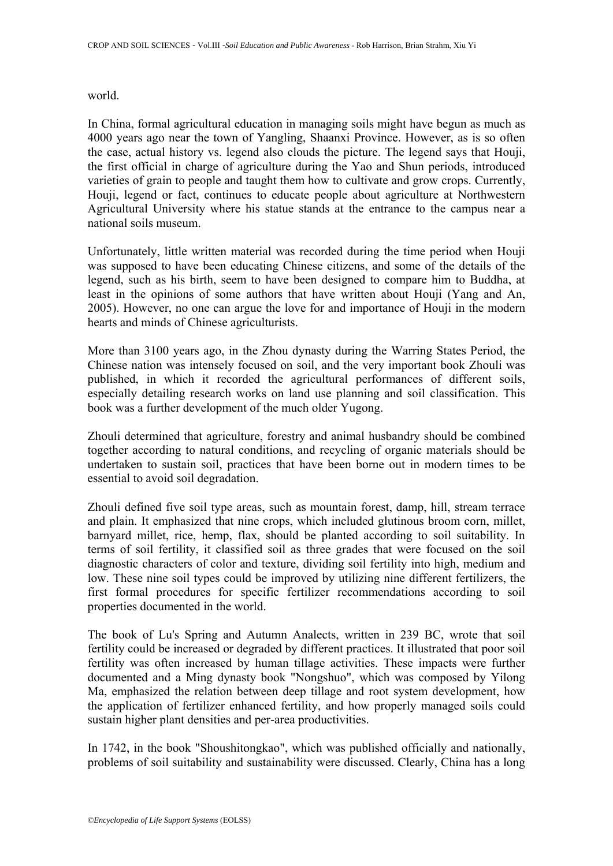world.

In China, formal agricultural education in managing soils might have begun as much as 4000 years ago near the town of Yangling, Shaanxi Province. However, as is so often the case, actual history vs. legend also clouds the picture. The legend says that Houji, the first official in charge of agriculture during the Yao and Shun periods, introduced varieties of grain to people and taught them how to cultivate and grow crops. Currently, Houji, legend or fact, continues to educate people about agriculture at Northwestern Agricultural University where his statue stands at the entrance to the campus near a national soils museum.

Unfortunately, little written material was recorded during the time period when Houji was supposed to have been educating Chinese citizens, and some of the details of the legend, such as his birth, seem to have been designed to compare him to Buddha, at least in the opinions of some authors that have written about Houji (Yang and An, 2005). However, no one can argue the love for and importance of Houji in the modern hearts and minds of Chinese agriculturists.

More than 3100 years ago, in the Zhou dynasty during the Warring States Period, the Chinese nation was intensely focused on soil, and the very important book Zhouli was published, in which it recorded the agricultural performances of different soils, especially detailing research works on land use planning and soil classification. This book was a further development of the much older Yugong.

Zhouli determined that agriculture, forestry and animal husbandry should be combined together according to natural conditions, and recycling of organic materials should be undertaken to sustain soil, practices that have been borne out in modern times to be essential to avoid soil degradation.

Zhouli defined five soil type areas, such as mountain forest, damp, hill, stream terrace and plain. It emphasized that nine crops, which included glutinous broom corn, millet, barnyard millet, rice, hemp, flax, should be planted according to soil suitability. In terms of soil fertility, it classified soil as three grades that were focused on the soil diagnostic characters of color and texture, dividing soil fertility into high, medium and low. These nine soil types could be improved by utilizing nine different fertilizers, the first formal procedures for specific fertilizer recommendations according to soil properties documented in the world.

The book of Lu's Spring and Autumn Analects, written in 239 BC, wrote that soil fertility could be increased or degraded by different practices. It illustrated that poor soil fertility was often increased by human tillage activities. These impacts were further documented and a Ming dynasty book "Nongshuo", which was composed by Yilong Ma, emphasized the relation between deep tillage and root system development, how the application of fertilizer enhanced fertility, and how properly managed soils could sustain higher plant densities and per-area productivities.

In 1742, in the book "Shoushitongkao", which was published officially and nationally, problems of soil suitability and sustainability were discussed. Clearly, China has a long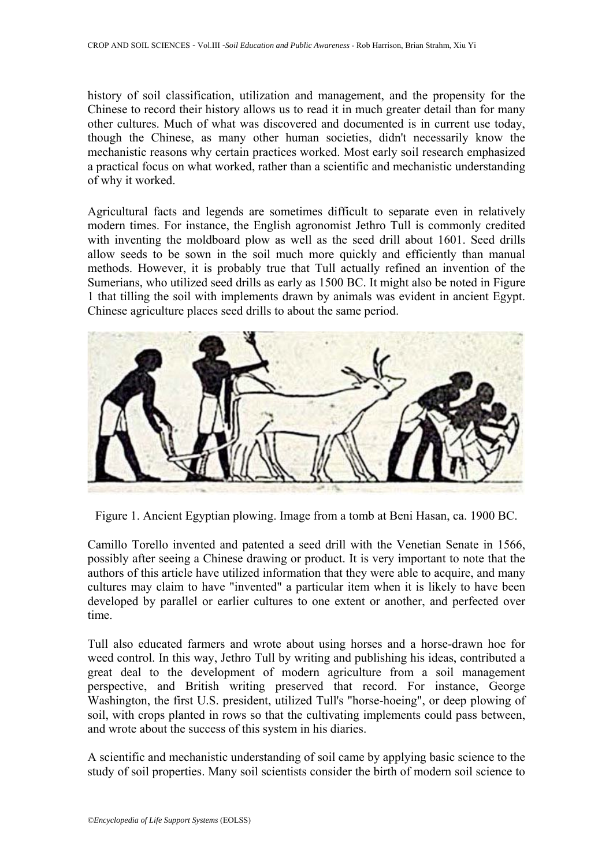history of soil classification, utilization and management, and the propensity for the Chinese to record their history allows us to read it in much greater detail than for many other cultures. Much of what was discovered and documented is in current use today, though the Chinese, as many other human societies, didn't necessarily know the mechanistic reasons why certain practices worked. Most early soil research emphasized a practical focus on what worked, rather than a scientific and mechanistic understanding of why it worked.

Agricultural facts and legends are sometimes difficult to separate even in relatively modern times. For instance, the English agronomist Jethro Tull is commonly credited with inventing the moldboard plow as well as the seed drill about 1601. Seed drills allow seeds to be sown in the soil much more quickly and efficiently than manual methods. However, it is probably true that Tull actually refined an invention of the Sumerians, who utilized seed drills as early as 1500 BC. It might also be noted in Figure 1 that tilling the soil with implements drawn by animals was evident in ancient Egypt. Chinese agriculture places seed drills to about the same period.



Figure 1. Ancient Egyptian plowing. Image from a tomb at Beni Hasan, ca. 1900 BC.

Camillo Torello invented and patented a seed drill with the Venetian Senate in 1566, possibly after seeing a Chinese drawing or product. It is very important to note that the authors of this article have utilized information that they were able to acquire, and many cultures may claim to have "invented" a particular item when it is likely to have been developed by parallel or earlier cultures to one extent or another, and perfected over time.

Tull also educated farmers and wrote about using horses and a horse-drawn hoe for weed control. In this way, Jethro Tull by writing and publishing his ideas, contributed a great deal to the development of modern agriculture from a soil management perspective, and British writing preserved that record. For instance, George Washington, the first U.S. president, utilized Tull's "horse-hoeing", or deep plowing of soil, with crops planted in rows so that the cultivating implements could pass between, and wrote about the success of this system in his diaries.

A scientific and mechanistic understanding of soil came by applying basic science to the study of soil properties. Many soil scientists consider the birth of modern soil science to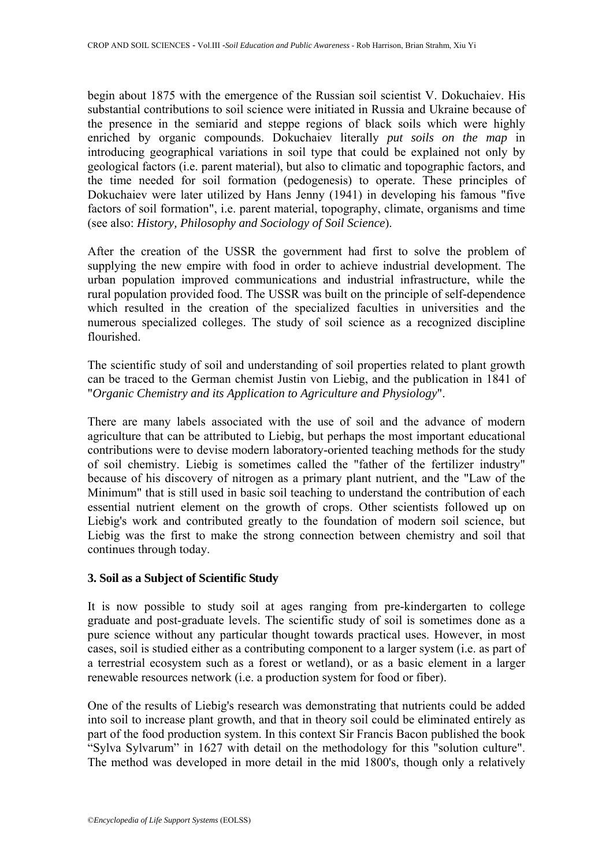begin about 1875 with the emergence of the Russian soil scientist V. Dokuchaiev. His substantial contributions to soil science were initiated in Russia and Ukraine because of the presence in the semiarid and steppe regions of black soils which were highly enriched by organic compounds. Dokuchaiev literally *put soils on the map* in introducing geographical variations in soil type that could be explained not only by geological factors (i.e. parent material), but also to climatic and topographic factors, and the time needed for soil formation (pedogenesis) to operate. These principles of Dokuchaiev were later utilized by Hans Jenny (1941) in developing his famous "five factors of soil formation", i.e. parent material, topography, climate, organisms and time (see also: *History, Philosophy and Sociology of Soil Science*).

After the creation of the USSR the government had first to solve the problem of supplying the new empire with food in order to achieve industrial development. The urban population improved communications and industrial infrastructure, while the rural population provided food. The USSR was built on the principle of self-dependence which resulted in the creation of the specialized faculties in universities and the numerous specialized colleges. The study of soil science as a recognized discipline flourished.

The scientific study of soil and understanding of soil properties related to plant growth can be traced to the German chemist Justin von Liebig, and the publication in 1841 of "*Organic Chemistry and its Application to Agriculture and Physiology*".

There are many labels associated with the use of soil and the advance of modern agriculture that can be attributed to Liebig, but perhaps the most important educational contributions were to devise modern laboratory-oriented teaching methods for the study of soil chemistry. Liebig is sometimes called the "father of the fertilizer industry" because of his discovery of nitrogen as a primary plant nutrient, and the "Law of the Minimum" that is still used in basic soil teaching to understand the contribution of each essential nutrient element on the growth of crops. Other scientists followed up on Liebig's work and contributed greatly to the foundation of modern soil science, but Liebig was the first to make the strong connection between chemistry and soil that continues through today.

# **3. Soil as a Subject of Scientific Study**

It is now possible to study soil at ages ranging from pre-kindergarten to college graduate and post-graduate levels. The scientific study of soil is sometimes done as a pure science without any particular thought towards practical uses. However, in most cases, soil is studied either as a contributing component to a larger system (i.e. as part of a terrestrial ecosystem such as a forest or wetland), or as a basic element in a larger renewable resources network (i.e. a production system for food or fiber).

One of the results of Liebig's research was demonstrating that nutrients could be added into soil to increase plant growth, and that in theory soil could be eliminated entirely as part of the food production system. In this context Sir Francis Bacon published the book "Sylva Sylvarum" in 1627 with detail on the methodology for this "solution culture". The method was developed in more detail in the mid 1800's, though only a relatively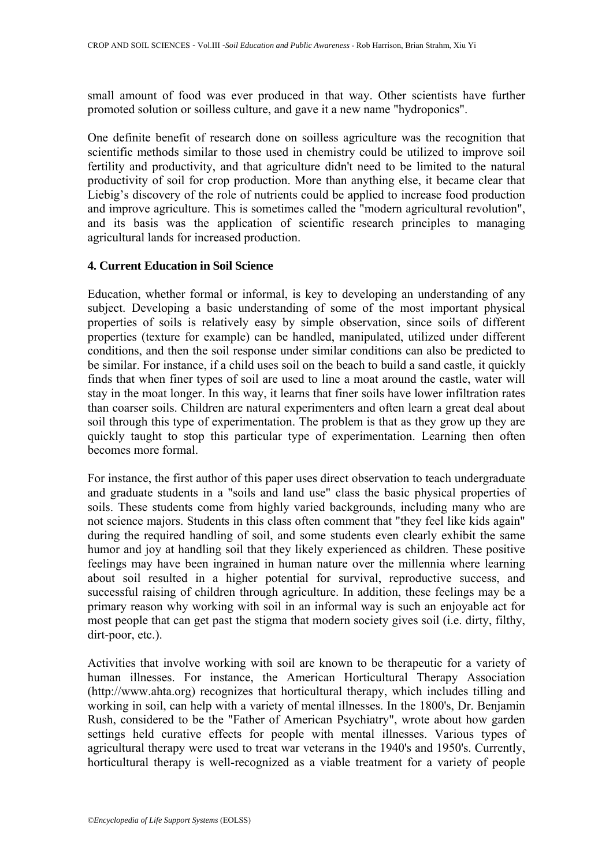small amount of food was ever produced in that way. Other scientists have further promoted solution or soilless culture, and gave it a new name "hydroponics".

One definite benefit of research done on soilless agriculture was the recognition that scientific methods similar to those used in chemistry could be utilized to improve soil fertility and productivity, and that agriculture didn't need to be limited to the natural productivity of soil for crop production. More than anything else, it became clear that Liebig's discovery of the role of nutrients could be applied to increase food production and improve agriculture. This is sometimes called the "modern agricultural revolution", and its basis was the application of scientific research principles to managing agricultural lands for increased production.

### **4. Current Education in Soil Science**

Education, whether formal or informal, is key to developing an understanding of any subject. Developing a basic understanding of some of the most important physical properties of soils is relatively easy by simple observation, since soils of different properties (texture for example) can be handled, manipulated, utilized under different conditions, and then the soil response under similar conditions can also be predicted to be similar. For instance, if a child uses soil on the beach to build a sand castle, it quickly finds that when finer types of soil are used to line a moat around the castle, water will stay in the moat longer. In this way, it learns that finer soils have lower infiltration rates than coarser soils. Children are natural experimenters and often learn a great deal about soil through this type of experimentation. The problem is that as they grow up they are quickly taught to stop this particular type of experimentation. Learning then often becomes more formal.

For instance, the first author of this paper uses direct observation to teach undergraduate and graduate students in a "soils and land use" class the basic physical properties of soils. These students come from highly varied backgrounds, including many who are not science majors. Students in this class often comment that "they feel like kids again" during the required handling of soil, and some students even clearly exhibit the same humor and joy at handling soil that they likely experienced as children. These positive feelings may have been ingrained in human nature over the millennia where learning about soil resulted in a higher potential for survival, reproductive success, and successful raising of children through agriculture. In addition, these feelings may be a primary reason why working with soil in an informal way is such an enjoyable act for most people that can get past the stigma that modern society gives soil (i.e. dirty, filthy, dirt-poor, etc.).

Activities that involve working with soil are known to be therapeutic for a variety of human illnesses. For instance, the American Horticultural Therapy Association (http://www.ahta.org) recognizes that horticultural therapy, which includes tilling and working in soil, can help with a variety of mental illnesses. In the 1800's, Dr. Benjamin Rush, considered to be the "Father of American Psychiatry", wrote about how garden settings held curative effects for people with mental illnesses. Various types of agricultural therapy were used to treat war veterans in the 1940's and 1950's. Currently, horticultural therapy is well-recognized as a viable treatment for a variety of people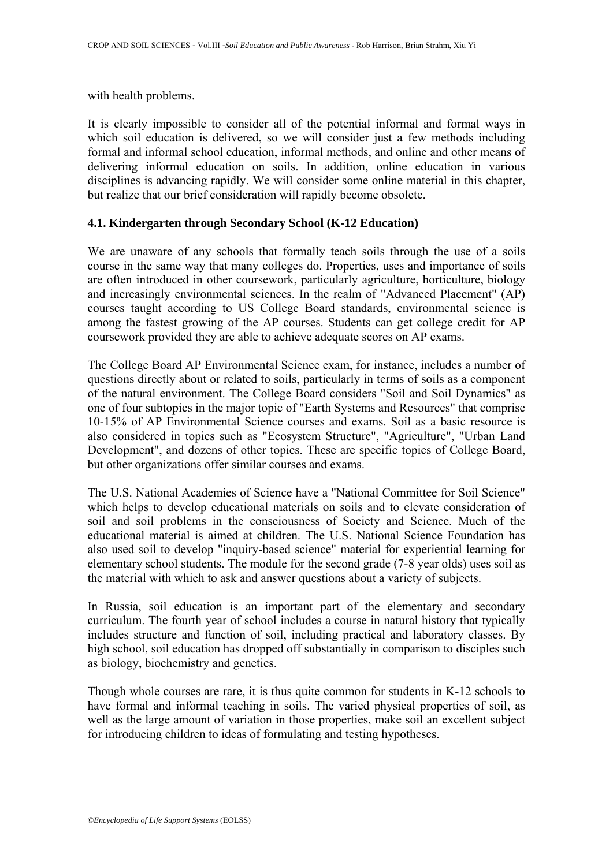with health problems.

It is clearly impossible to consider all of the potential informal and formal ways in which soil education is delivered, so we will consider just a few methods including formal and informal school education, informal methods, and online and other means of delivering informal education on soils. In addition, online education in various disciplines is advancing rapidly. We will consider some online material in this chapter, but realize that our brief consideration will rapidly become obsolete.

## **4.1. Kindergarten through Secondary School (K-12 Education)**

We are unaware of any schools that formally teach soils through the use of a soils course in the same way that many colleges do. Properties, uses and importance of soils are often introduced in other coursework, particularly agriculture, horticulture, biology and increasingly environmental sciences. In the realm of "Advanced Placement" (AP) courses taught according to US College Board standards, environmental science is among the fastest growing of the AP courses. Students can get college credit for AP coursework provided they are able to achieve adequate scores on AP exams.

The College Board AP Environmental Science exam, for instance, includes a number of questions directly about or related to soils, particularly in terms of soils as a component of the natural environment. The College Board considers "Soil and Soil Dynamics" as one of four subtopics in the major topic of "Earth Systems and Resources" that comprise 10-15% of AP Environmental Science courses and exams. Soil as a basic resource is also considered in topics such as "Ecosystem Structure", "Agriculture", "Urban Land Development", and dozens of other topics. These are specific topics of College Board, but other organizations offer similar courses and exams.

The U.S. National Academies of Science have a "National Committee for Soil Science" which helps to develop educational materials on soils and to elevate consideration of soil and soil problems in the consciousness of Society and Science. Much of the educational material is aimed at children. The U.S. National Science Foundation has also used soil to develop "inquiry-based science" material for experiential learning for elementary school students. The module for the second grade (7-8 year olds) uses soil as the material with which to ask and answer questions about a variety of subjects.

In Russia, soil education is an important part of the elementary and secondary curriculum. The fourth year of school includes a course in natural history that typically includes structure and function of soil, including practical and laboratory classes. By high school, soil education has dropped off substantially in comparison to disciples such as biology, biochemistry and genetics.

Though whole courses are rare, it is thus quite common for students in K-12 schools to have formal and informal teaching in soils. The varied physical properties of soil, as well as the large amount of variation in those properties, make soil an excellent subject for introducing children to ideas of formulating and testing hypotheses.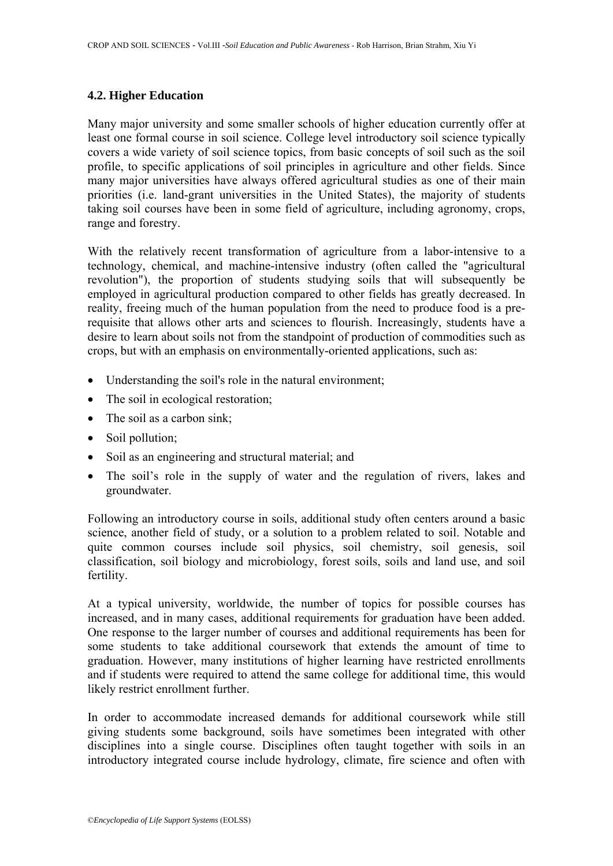## **4.2. Higher Education**

Many major university and some smaller schools of higher education currently offer at least one formal course in soil science. College level introductory soil science typically covers a wide variety of soil science topics, from basic concepts of soil such as the soil profile, to specific applications of soil principles in agriculture and other fields. Since many major universities have always offered agricultural studies as one of their main priorities (i.e. land-grant universities in the United States), the majority of students taking soil courses have been in some field of agriculture, including agronomy, crops, range and forestry.

With the relatively recent transformation of agriculture from a labor-intensive to a technology, chemical, and machine-intensive industry (often called the "agricultural revolution"), the proportion of students studying soils that will subsequently be employed in agricultural production compared to other fields has greatly decreased. In reality, freeing much of the human population from the need to produce food is a prerequisite that allows other arts and sciences to flourish. Increasingly, students have a desire to learn about soils not from the standpoint of production of commodities such as crops, but with an emphasis on environmentally-oriented applications, such as:

- Understanding the soil's role in the natural environment;
- The soil in ecological restoration;
- The soil as a carbon sink;
- Soil pollution;
- Soil as an engineering and structural material; and
- The soil's role in the supply of water and the regulation of rivers, lakes and groundwater.

Following an introductory course in soils, additional study often centers around a basic science, another field of study, or a solution to a problem related to soil. Notable and quite common courses include soil physics, soil chemistry, soil genesis, soil classification, soil biology and microbiology, forest soils, soils and land use, and soil fertility.

At a typical university, worldwide, the number of topics for possible courses has increased, and in many cases, additional requirements for graduation have been added. One response to the larger number of courses and additional requirements has been for some students to take additional coursework that extends the amount of time to graduation. However, many institutions of higher learning have restricted enrollments and if students were required to attend the same college for additional time, this would likely restrict enrollment further.

In order to accommodate increased demands for additional coursework while still giving students some background, soils have sometimes been integrated with other disciplines into a single course. Disciplines often taught together with soils in an introductory integrated course include hydrology, climate, fire science and often with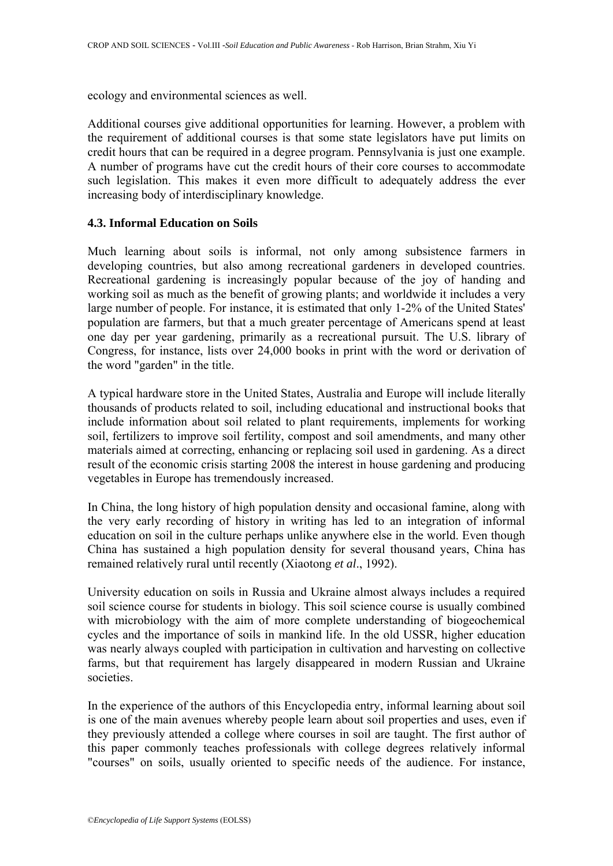ecology and environmental sciences as well.

Additional courses give additional opportunities for learning. However, a problem with the requirement of additional courses is that some state legislators have put limits on credit hours that can be required in a degree program. Pennsylvania is just one example. A number of programs have cut the credit hours of their core courses to accommodate such legislation. This makes it even more difficult to adequately address the ever increasing body of interdisciplinary knowledge.

## **4.3. Informal Education on Soils**

Much learning about soils is informal, not only among subsistence farmers in developing countries, but also among recreational gardeners in developed countries. Recreational gardening is increasingly popular because of the joy of handing and working soil as much as the benefit of growing plants; and worldwide it includes a very large number of people. For instance, it is estimated that only 1-2% of the United States' population are farmers, but that a much greater percentage of Americans spend at least one day per year gardening, primarily as a recreational pursuit. The U.S. library of Congress, for instance, lists over 24,000 books in print with the word or derivation of the word "garden" in the title.

A typical hardware store in the United States, Australia and Europe will include literally thousands of products related to soil, including educational and instructional books that include information about soil related to plant requirements, implements for working soil, fertilizers to improve soil fertility, compost and soil amendments, and many other materials aimed at correcting, enhancing or replacing soil used in gardening. As a direct result of the economic crisis starting 2008 the interest in house gardening and producing vegetables in Europe has tremendously increased.

In China, the long history of high population density and occasional famine, along with the very early recording of history in writing has led to an integration of informal education on soil in the culture perhaps unlike anywhere else in the world. Even though China has sustained a high population density for several thousand years, China has remained relatively rural until recently (Xiaotong *et al*., 1992).

University education on soils in Russia and Ukraine almost always includes a required soil science course for students in biology. This soil science course is usually combined with microbiology with the aim of more complete understanding of biogeochemical cycles and the importance of soils in mankind life. In the old USSR, higher education was nearly always coupled with participation in cultivation and harvesting on collective farms, but that requirement has largely disappeared in modern Russian and Ukraine societies.

In the experience of the authors of this Encyclopedia entry, informal learning about soil is one of the main avenues whereby people learn about soil properties and uses, even if they previously attended a college where courses in soil are taught. The first author of this paper commonly teaches professionals with college degrees relatively informal "courses" on soils, usually oriented to specific needs of the audience. For instance,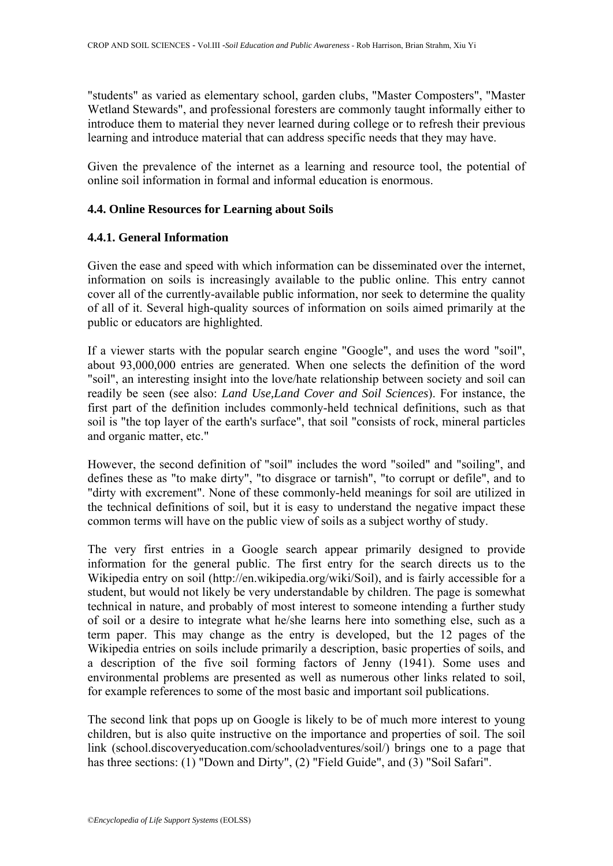"students" as varied as elementary school, garden clubs, "Master Composters", "Master Wetland Stewards", and professional foresters are commonly taught informally either to introduce them to material they never learned during college or to refresh their previous learning and introduce material that can address specific needs that they may have.

Given the prevalence of the internet as a learning and resource tool, the potential of online soil information in formal and informal education is enormous.

## **4.4. Online Resources for Learning about Soils**

## **4.4.1. General Information**

Given the ease and speed with which information can be disseminated over the internet, information on soils is increasingly available to the public online. This entry cannot cover all of the currently-available public information, nor seek to determine the quality of all of it. Several high-quality sources of information on soils aimed primarily at the public or educators are highlighted.

If a viewer starts with the popular search engine "Google", and uses the word "soil", about 93,000,000 entries are generated. When one selects the definition of the word "soil", an interesting insight into the love/hate relationship between society and soil can readily be seen (see also: *Land Use,Land Cover and Soil Sciences*). For instance, the first part of the definition includes commonly-held technical definitions, such as that soil is "the top layer of the earth's surface", that soil "consists of rock, mineral particles and organic matter, etc."

However, the second definition of "soil" includes the word "soiled" and "soiling", and defines these as "to make dirty", "to disgrace or tarnish", "to corrupt or defile", and to "dirty with excrement". None of these commonly-held meanings for soil are utilized in the technical definitions of soil, but it is easy to understand the negative impact these common terms will have on the public view of soils as a subject worthy of study.

The very first entries in a Google search appear primarily designed to provide information for the general public. The first entry for the search directs us to the Wikipedia entry on soil (http://en.wikipedia.org/wiki/Soil), and is fairly accessible for a student, but would not likely be very understandable by children. The page is somewhat technical in nature, and probably of most interest to someone intending a further study of soil or a desire to integrate what he/she learns here into something else, such as a term paper. This may change as the entry is developed, but the 12 pages of the Wikipedia entries on soils include primarily a description, basic properties of soils, and a description of the five soil forming factors of Jenny (1941). Some uses and environmental problems are presented as well as numerous other links related to soil, for example references to some of the most basic and important soil publications.

The second link that pops up on Google is likely to be of much more interest to young children, but is also quite instructive on the importance and properties of soil. The soil link (school.discoveryeducation.com/schooladventures/soil/) brings one to a page that has three sections: (1) "Down and Dirty", (2) "Field Guide", and (3) "Soil Safari".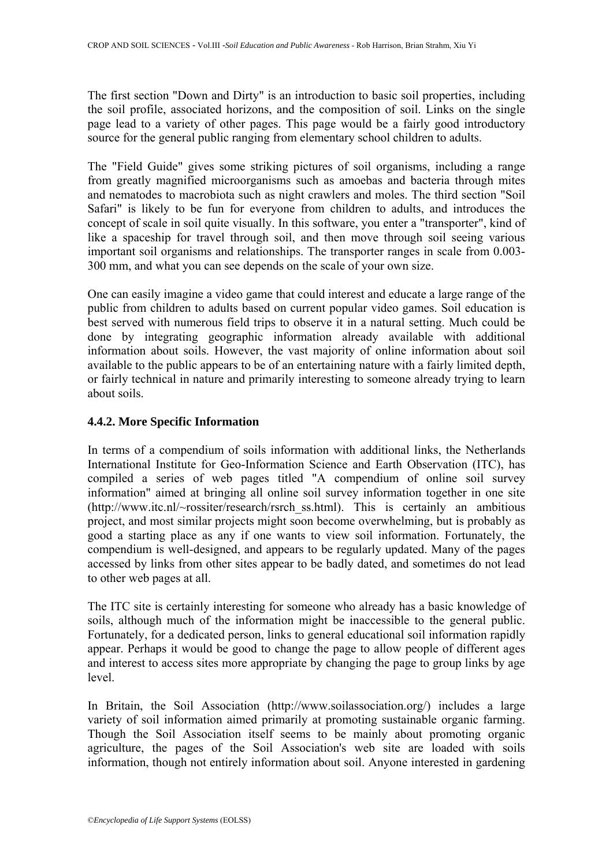The first section "Down and Dirty" is an introduction to basic soil properties, including the soil profile, associated horizons, and the composition of soil. Links on the single page lead to a variety of other pages. This page would be a fairly good introductory source for the general public ranging from elementary school children to adults.

The "Field Guide" gives some striking pictures of soil organisms, including a range from greatly magnified microorganisms such as amoebas and bacteria through mites and nematodes to macrobiota such as night crawlers and moles. The third section "Soil Safari" is likely to be fun for everyone from children to adults, and introduces the concept of scale in soil quite visually. In this software, you enter a "transporter", kind of like a spaceship for travel through soil, and then move through soil seeing various important soil organisms and relationships. The transporter ranges in scale from 0.003- 300 mm, and what you can see depends on the scale of your own size.

One can easily imagine a video game that could interest and educate a large range of the public from children to adults based on current popular video games. Soil education is best served with numerous field trips to observe it in a natural setting. Much could be done by integrating geographic information already available with additional information about soils. However, the vast majority of online information about soil available to the public appears to be of an entertaining nature with a fairly limited depth, or fairly technical in nature and primarily interesting to someone already trying to learn about soils.

# **4.4.2. More Specific Information**

In terms of a compendium of soils information with additional links, the Netherlands International Institute for Geo-Information Science and Earth Observation (ITC), has compiled a series of web pages titled "A compendium of online soil survey information" aimed at bringing all online soil survey information together in one site (http://www.itc.nl/~rossiter/research/rsrch ss.html). This is certainly an ambitious project, and most similar projects might soon become overwhelming, but is probably as good a starting place as any if one wants to view soil information. Fortunately, the compendium is well-designed, and appears to be regularly updated. Many of the pages accessed by links from other sites appear to be badly dated, and sometimes do not lead to other web pages at all.

The ITC site is certainly interesting for someone who already has a basic knowledge of soils, although much of the information might be inaccessible to the general public. Fortunately, for a dedicated person, links to general educational soil information rapidly appear. Perhaps it would be good to change the page to allow people of different ages and interest to access sites more appropriate by changing the page to group links by age level.

In Britain, the Soil Association (http://www.soilassociation.org/) includes a large variety of soil information aimed primarily at promoting sustainable organic farming. Though the Soil Association itself seems to be mainly about promoting organic agriculture, the pages of the Soil Association's web site are loaded with soils information, though not entirely information about soil. Anyone interested in gardening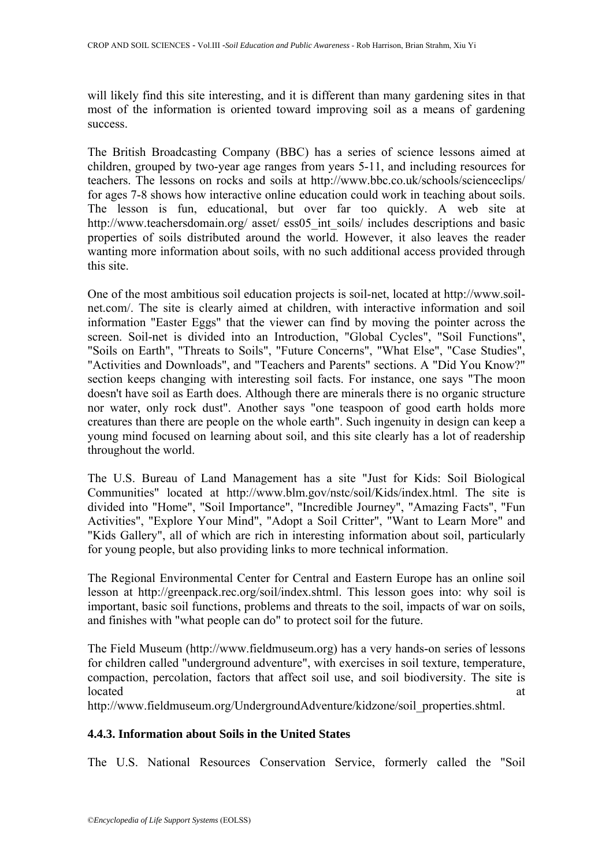will likely find this site interesting, and it is different than many gardening sites in that most of the information is oriented toward improving soil as a means of gardening success.

The British Broadcasting Company (BBC) has a series of science lessons aimed at children, grouped by two-year age ranges from years 5-11, and including resources for teachers. The lessons on rocks and soils at http://www.bbc.co.uk/schools/scienceclips/ for ages 7-8 shows how interactive online education could work in teaching about soils. The lesson is fun, educational, but over far too quickly. A web site at http://www.teachersdomain.org/ asset/ ess05 int soils/ includes descriptions and basic properties of soils distributed around the world. However, it also leaves the reader wanting more information about soils, with no such additional access provided through this site.

One of the most ambitious soil education projects is soil-net, located at http://www.soilnet.com/. The site is clearly aimed at children, with interactive information and soil information "Easter Eggs" that the viewer can find by moving the pointer across the screen. Soil-net is divided into an Introduction, "Global Cycles", "Soil Functions", "Soils on Earth", "Threats to Soils", "Future Concerns", "What Else", "Case Studies", "Activities and Downloads", and "Teachers and Parents" sections. A "Did You Know?" section keeps changing with interesting soil facts. For instance, one says "The moon doesn't have soil as Earth does. Although there are minerals there is no organic structure nor water, only rock dust". Another says "one teaspoon of good earth holds more creatures than there are people on the whole earth". Such ingenuity in design can keep a young mind focused on learning about soil, and this site clearly has a lot of readership throughout the world.

The U.S. Bureau of Land Management has a site "Just for Kids: Soil Biological Communities" located at http://www.blm.gov/nstc/soil/Kids/index.html. The site is divided into "Home", "Soil Importance", "Incredible Journey", "Amazing Facts", "Fun Activities", "Explore Your Mind", "Adopt a Soil Critter", "Want to Learn More" and "Kids Gallery", all of which are rich in interesting information about soil, particularly for young people, but also providing links to more technical information.

The Regional Environmental Center for Central and Eastern Europe has an online soil lesson at http://greenpack.rec.org/soil/index.shtml. This lesson goes into: why soil is important, basic soil functions, problems and threats to the soil, impacts of war on soils, and finishes with "what people can do" to protect soil for the future.

The Field Museum (http://www.fieldmuseum.org) has a very hands-on series of lessons for children called "underground adventure", with exercises in soil texture, temperature, compaction, percolation, factors that affect soil use, and soil biodiversity. The site is located at a state of the state of the state of the state of the state of the state of the state of the state of the state of the state of the state of the state of the state of the state of the state of the state of the s

http://www.fieldmuseum.org/UndergroundAdventure/kidzone/soil\_properties.shtml.

# **4.4.3. Information about Soils in the United States**

The U.S. National Resources Conservation Service, formerly called the "Soil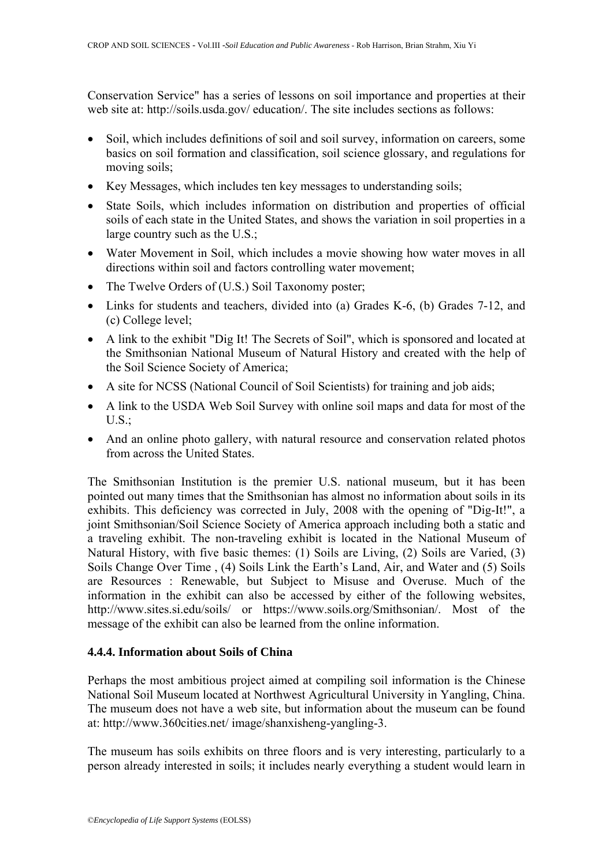Conservation Service" has a series of lessons on soil importance and properties at their web site at: http://soils.usda.gov/ education/. The site includes sections as follows:

- Soil, which includes definitions of soil and soil survey, information on careers, some basics on soil formation and classification, soil science glossary, and regulations for moving soils;
- Key Messages, which includes ten key messages to understanding soils;
- State Soils, which includes information on distribution and properties of official soils of each state in the United States, and shows the variation in soil properties in a large country such as the U.S.;
- Water Movement in Soil, which includes a movie showing how water moves in all directions within soil and factors controlling water movement;
- The Twelve Orders of (U.S.) Soil Taxonomy poster;
- Links for students and teachers, divided into (a) Grades K-6, (b) Grades 7-12, and (c) College level;
- A link to the exhibit "Dig It! The Secrets of Soil", which is sponsored and located at the Smithsonian National Museum of Natural History and created with the help of the Soil Science Society of America;
- A site for NCSS (National Council of Soil Scientists) for training and job aids;
- A link to the USDA Web Soil Survey with online soil maps and data for most of the U.S.;
- And an online photo gallery, with natural resource and conservation related photos from across the United States.

The Smithsonian Institution is the premier U.S. national museum, but it has been pointed out many times that the Smithsonian has almost no information about soils in its exhibits. This deficiency was corrected in July, 2008 with the opening of "Dig-It!", a joint Smithsonian/Soil Science Society of America approach including both a static and a traveling exhibit. The non-traveling exhibit is located in the National Museum of Natural History, with five basic themes: (1) Soils are Living, (2) Soils are Varied, (3) Soils Change Over Time , (4) Soils Link the Earth's Land, Air, and Water and (5) Soils are Resources : Renewable, but Subject to Misuse and Overuse. Much of the information in the exhibit can also be accessed by either of the following websites, http://www.sites.si.edu/soils/ or [https://www.soils.org/Smithsonian/.](https://www.soils.org/Smithsonian/) Most of the message of the exhibit can also be learned from the online information.

## **4.4.4. Information about Soils of China**

Perhaps the most ambitious project aimed at compiling soil information is the Chinese National Soil Museum located at Northwest Agricultural University in Yangling, China. The museum does not have a web site, but information about the museum can be found at: http://www.360cities.net/ image/shanxisheng-yangling-3.

The museum has soils exhibits on three floors and is very interesting, particularly to a person already interested in soils; it includes nearly everything a student would learn in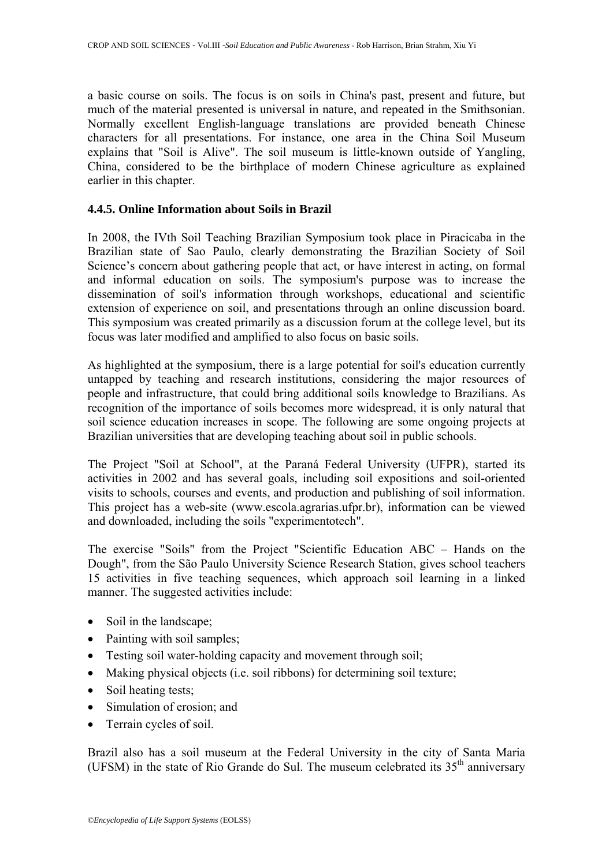a basic course on soils. The focus is on soils in China's past, present and future, but much of the material presented is universal in nature, and repeated in the Smithsonian. Normally excellent English-language translations are provided beneath Chinese characters for all presentations. For instance, one area in the China Soil Museum explains that "Soil is Alive". The soil museum is little-known outside of Yangling, China, considered to be the birthplace of modern Chinese agriculture as explained earlier in this chapter.

## **4.4.5. Online Information about Soils in Brazil**

In 2008, the IVth Soil Teaching Brazilian Symposium took place in Piracicaba in the Brazilian state of Sao Paulo, clearly demonstrating the Brazilian Society of Soil Science's concern about gathering people that act, or have interest in acting, on formal and informal education on soils. The symposium's purpose was to increase the dissemination of soil's information through workshops, educational and scientific extension of experience on soil, and presentations through an online discussion board. This symposium was created primarily as a discussion forum at the college level, but its focus was later modified and amplified to also focus on basic soils.

As highlighted at the symposium, there is a large potential for soil's education currently untapped by teaching and research institutions, considering the major resources of people and infrastructure, that could bring additional soils knowledge to Brazilians. As recognition of the importance of soils becomes more widespread, it is only natural that soil science education increases in scope. The following are some ongoing projects at Brazilian universities that are developing teaching about soil in public schools.

The Project "Soil at School", at the Paraná Federal University (UFPR), started its activities in 2002 and has several goals, including soil expositions and soil-oriented visits to schools, courses and events, and production and publishing of soil information. This project has a web-site [\(www.escola.agrarias.ufpr.br](http://www.escola.agrarias.ufpr.br)), information can be viewed and downloaded, including the soils "experimentotech".

The exercise "Soils" from the Project "Scientific Education ABC – Hands on the Dough", from the São Paulo University Science Research Station, gives school teachers 15 activities in five teaching sequences, which approach soil learning in a linked manner. The suggested activities include:

- Soil in the landscape;
- Painting with soil samples;
- Testing soil water-holding capacity and movement through soil;
- Making physical objects (i.e. soil ribbons) for determining soil texture;
- Soil heating tests;
- Simulation of erosion; and
- Terrain cycles of soil.

Brazil also has a soil museum at the Federal University in the city of Santa Maria (UFSM) in the state of Rio Grande do Sul. The museum celebrated its  $35<sup>th</sup>$  anniversary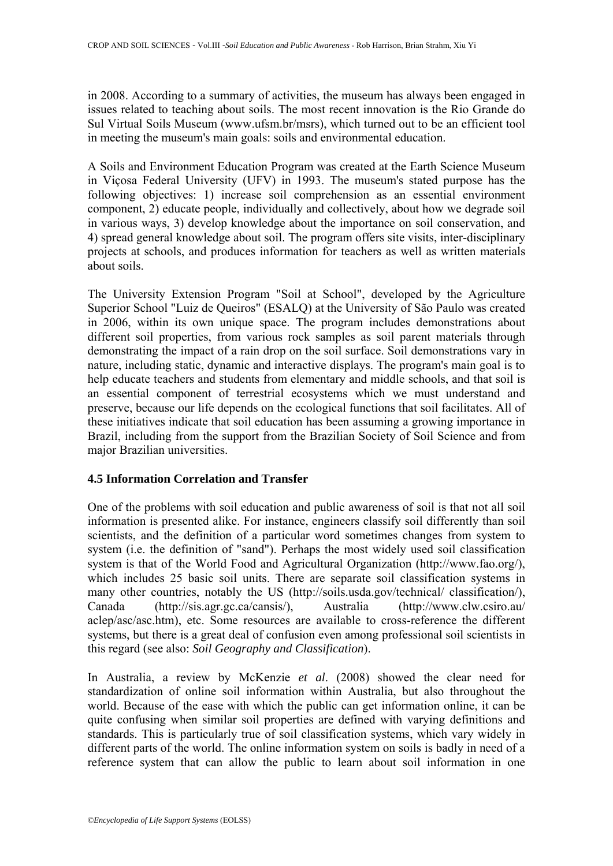in 2008. According to a summary of activities, the museum has always been engaged in issues related to teaching about soils. The most recent innovation is the Rio Grande do Sul Virtual Soils Museum [\(www.ufsm.br/msrs\)](http://www.ufsm.br/msrs), which turned out to be an efficient tool in meeting the museum's main goals: soils and environmental education.

A Soils and Environment Education Program was created at the Earth Science Museum in Viçosa Federal University (UFV) in 1993. The museum's stated purpose has the following objectives: 1) increase soil comprehension as an essential environment component, 2) educate people, individually and collectively, about how we degrade soil in various ways, 3) develop knowledge about the importance on soil conservation, and 4) spread general knowledge about soil. The program offers site visits, inter-disciplinary projects at schools, and produces information for teachers as well as written materials about soils.

The University Extension Program "Soil at School", developed by the Agriculture Superior School "Luiz de Queiros" (ESALQ) at the University of São Paulo was created in 2006, within its own unique space. The program includes demonstrations about different soil properties, from various rock samples as soil parent materials through demonstrating the impact of a rain drop on the soil surface. Soil demonstrations vary in nature, including static, dynamic and interactive displays. The program's main goal is to help educate teachers and students from elementary and middle schools, and that soil is an essential component of terrestrial ecosystems which we must understand and preserve, because our life depends on the ecological functions that soil facilitates. All of these initiatives indicate that soil education has been assuming a growing importance in Brazil, including from the support from the Brazilian Society of Soil Science and from major Brazilian universities.

## **4.5 Information Correlation and Transfer**

One of the problems with soil education and public awareness of soil is that not all soil information is presented alike. For instance, engineers classify soil differently than soil scientists, and the definition of a particular word sometimes changes from system to system (i.e. the definition of "sand"). Perhaps the most widely used soil classification system is that of the World Food and Agricultural Organization (http://www.fao.org/), which includes 25 basic soil units. There are separate soil classification systems in many other countries, notably the US (<http://soils.usda.gov/technical/>classification/), Canada (http://sis.agr.gc.ca/cansis/), Australia [\(http://www.clw.csiro.au/](http://www.clw.csiro.au/) aclep/asc/asc.htm), etc. Some resources are available to cross-reference the different systems, but there is a great deal of confusion even among professional soil scientists in this regard (see also: *Soil Geography and Classification*).

In Australia, a review by McKenzie *et al*. (2008) showed the clear need for standardization of online soil information within Australia, but also throughout the world. Because of the ease with which the public can get information online, it can be quite confusing when similar soil properties are defined with varying definitions and standards. This is particularly true of soil classification systems, which vary widely in different parts of the world. The online information system on soils is badly in need of a reference system that can allow the public to learn about soil information in one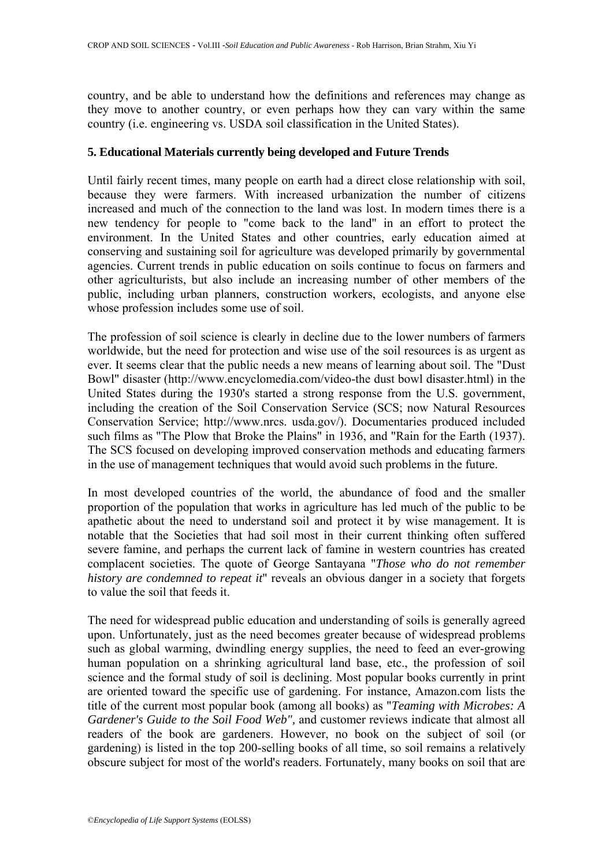country, and be able to understand how the definitions and references may change as they move to another country, or even perhaps how they can vary within the same country (i.e. engineering vs. USDA soil classification in the United States).

## **5. Educational Materials currently being developed and Future Trends**

Until fairly recent times, many people on earth had a direct close relationship with soil, because they were farmers. With increased urbanization the number of citizens increased and much of the connection to the land was lost. In modern times there is a new tendency for people to "come back to the land" in an effort to protect the environment. In the United States and other countries, early education aimed at conserving and sustaining soil for agriculture was developed primarily by governmental agencies. Current trends in public education on soils continue to focus on farmers and other agriculturists, but also include an increasing number of other members of the public, including urban planners, construction workers, ecologists, and anyone else whose profession includes some use of soil.

The profession of soil science is clearly in decline due to the lower numbers of farmers worldwide, but the need for protection and wise use of the soil resources is as urgent as ever. It seems clear that the public needs a new means of learning about soil. The "Dust Bowl" disaster (http://www.encyclomedia.com/video-the dust bowl disaster.html) in the United States during the 1930's started a strong response from the U.S. government, including the creation of the Soil Conservation Service (SCS; now Natural Resources Conservation Service; http://www.nrcs. usda.gov/). Documentaries produced included such films as "The Plow that Broke the Plains" in 1936, and "Rain for the Earth (1937). The SCS focused on developing improved conservation methods and educating farmers in the use of management techniques that would avoid such problems in the future.

In most developed countries of the world, the abundance of food and the smaller proportion of the population that works in agriculture has led much of the public to be apathetic about the need to understand soil and protect it by wise management. It is notable that the Societies that had soil most in their current thinking often suffered severe famine, and perhaps the current lack of famine in western countries has created complacent societies. The quote of George Santayana "*Those who do not remember history are condemned to repeat it*" reveals an obvious danger in a society that forgets to value the soil that feeds it.

The need for widespread public education and understanding of soils is generally agreed upon. Unfortunately, just as the need becomes greater because of widespread problems such as global warming, dwindling energy supplies, the need to feed an ever-growing human population on a shrinking agricultural land base, etc., the profession of soil science and the formal study of soil is declining. Most popular books currently in print are oriented toward the specific use of gardening. For instance, Amazon.com lists the title of the current most popular book (among all books) as "*Teaming with Microbes: A Gardener's Guide to the Soil Food Web",* and customer reviews indicate that almost all readers of the book are gardeners. However, no book on the subject of soil (or gardening) is listed in the top 200-selling books of all time, so soil remains a relatively obscure subject for most of the world's readers. Fortunately, many books on soil that are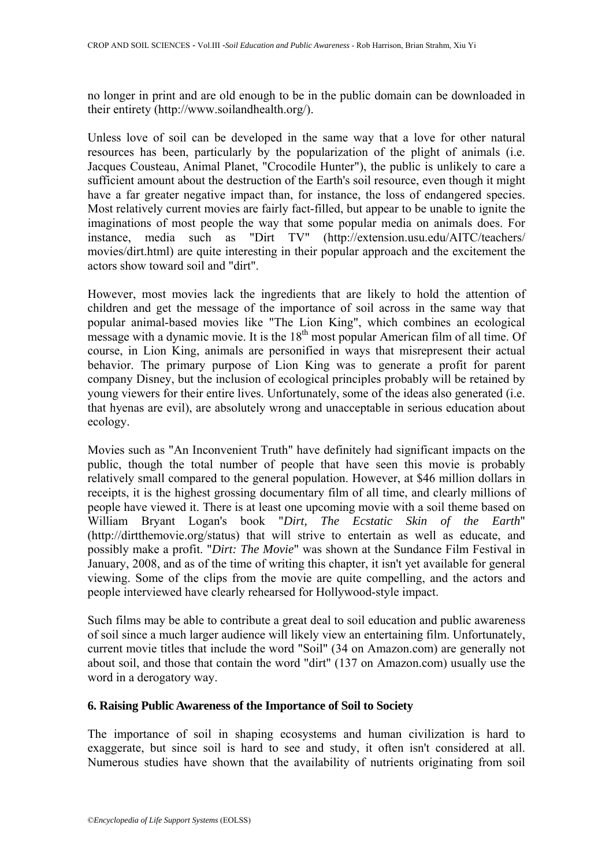no longer in print and are old enough to be in the public domain can be downloaded in their entirety (http://www.soilandhealth.org/).

Unless love of soil can be developed in the same way that a love for other natural resources has been, particularly by the popularization of the plight of animals (i.e. Jacques Cousteau, Animal Planet, "Crocodile Hunter"), the public is unlikely to care a sufficient amount about the destruction of the Earth's soil resource, even though it might have a far greater negative impact than, for instance, the loss of endangered species. Most relatively current movies are fairly fact-filled, but appear to be unable to ignite the imaginations of most people the way that some popular media on animals does. For instance, media such as "Dirt TV" (http://extension.usu.edu/AITC/teachers/ movies/dirt.html) are quite interesting in their popular approach and the excitement the actors show toward soil and "dirt".

However, most movies lack the ingredients that are likely to hold the attention of children and get the message of the importance of soil across in the same way that popular animal-based movies like "The Lion King", which combines an ecological message with a dynamic movie. It is the  $18<sup>th</sup>$  most popular American film of all time. Of course, in Lion King, animals are personified in ways that misrepresent their actual behavior. The primary purpose of Lion King was to generate a profit for parent company Disney, but the inclusion of ecological principles probably will be retained by young viewers for their entire lives. Unfortunately, some of the ideas also generated (i.e. that hyenas are evil), are absolutely wrong and unacceptable in serious education about ecology.

Movies such as "An Inconvenient Truth" have definitely had significant impacts on the public, though the total number of people that have seen this movie is probably relatively small compared to the general population. However, at \$46 million dollars in receipts, it is the highest grossing documentary film of all time, and clearly millions of people have viewed it. There is at least one upcoming movie with a soil theme based on William Bryant Logan's book "*Dirt, The Ecstatic Skin of the Earth*" (http://dirtthemovie.org/status) that will strive to entertain as well as educate, and possibly make a profit. "*Dirt: The Movie*" was shown at the Sundance Film Festival in January, 2008, and as of the time of writing this chapter, it isn't yet available for general viewing. Some of the clips from the movie are quite compelling, and the actors and people interviewed have clearly rehearsed for Hollywood-style impact.

Such films may be able to contribute a great deal to soil education and public awareness of soil since a much larger audience will likely view an entertaining film. Unfortunately, current movie titles that include the word "Soil" (34 on Amazon.com) are generally not about soil, and those that contain the word "dirt" (137 on Amazon.com) usually use the word in a derogatory way.

## **6. Raising Public Awareness of the Importance of Soil to Society**

The importance of soil in shaping ecosystems and human civilization is hard to exaggerate, but since soil is hard to see and study, it often isn't considered at all. Numerous studies have shown that the availability of nutrients originating from soil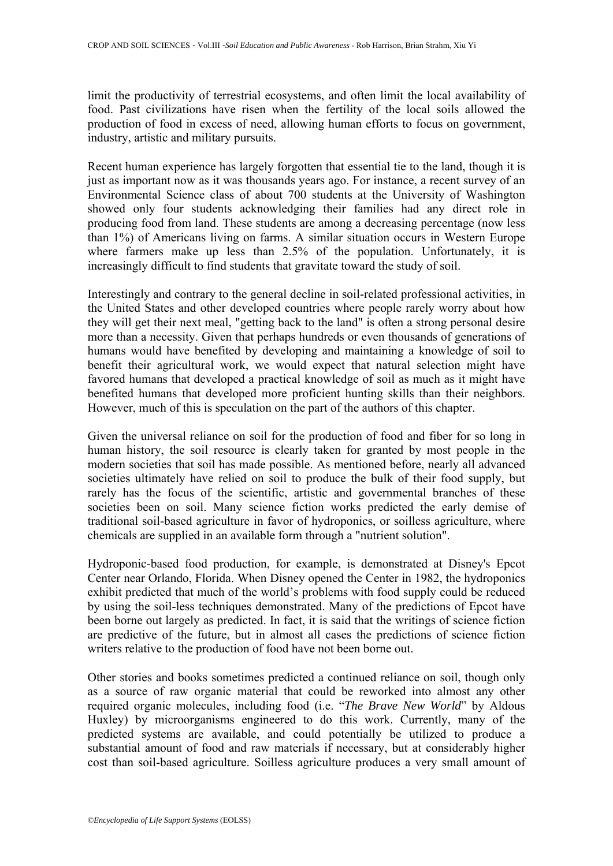limit the productivity of terrestrial ecosystems, and often limit the local availability of food. Past civilizations have risen when the fertility of the local soils allowed the production of food in excess of need, allowing human efforts to focus on government, industry, artistic and military pursuits.

Recent human experience has largely forgotten that essential tie to the land, though it is just as important now as it was thousands years ago. For instance, a recent survey of an Environmental Science class of about 700 students at the University of Washington showed only four students acknowledging their families had any direct role in producing food from land. These students are among a decreasing percentage (now less than 1%) of Americans living on farms. A similar situation occurs in Western Europe where farmers make up less than 2.5% of the population. Unfortunately, it is increasingly difficult to find students that gravitate toward the study of soil.

Interestingly and contrary to the general decline in soil-related professional activities, in the United States and other developed countries where people rarely worry about how they will get their next meal, "getting back to the land" is often a strong personal desire more than a necessity. Given that perhaps hundreds or even thousands of generations of humans would have benefited by developing and maintaining a knowledge of soil to benefit their agricultural work, we would expect that natural selection might have favored humans that developed a practical knowledge of soil as much as it might have benefited humans that developed more proficient hunting skills than their neighbors. However, much of this is speculation on the part of the authors of this chapter.

Given the universal reliance on soil for the production of food and fiber for so long in human history, the soil resource is clearly taken for granted by most people in the modern societies that soil has made possible. As mentioned before, nearly all advanced societies ultimately have relied on soil to produce the bulk of their food supply, but rarely has the focus of the scientific, artistic and governmental branches of these societies been on soil. Many science fiction works predicted the early demise of traditional soil-based agriculture in favor of hydroponics, or soilless agriculture, where chemicals are supplied in an available form through a "nutrient solution".

Hydroponic-based food production, for example, is demonstrated at Disney's Epcot Center near Orlando, Florida. When Disney opened the Center in 1982, the hydroponics exhibit predicted that much of the world's problems with food supply could be reduced by using the soil-less techniques demonstrated. Many of the predictions of Epcot have been borne out largely as predicted. In fact, it is said that the writings of science fiction are predictive of the future, but in almost all cases the predictions of science fiction writers relative to the production of food have not been borne out.

Other stories and books sometimes predicted a continued reliance on soil, though only as a source of raw organic material that could be reworked into almost any other required organic molecules, including food (i.e. "*The Brave New World*" by Aldous Huxley) by microorganisms engineered to do this work. Currently, many of the predicted systems are available, and could potentially be utilized to produce a substantial amount of food and raw materials if necessary, but at considerably higher cost than soil-based agriculture. Soilless agriculture produces a very small amount of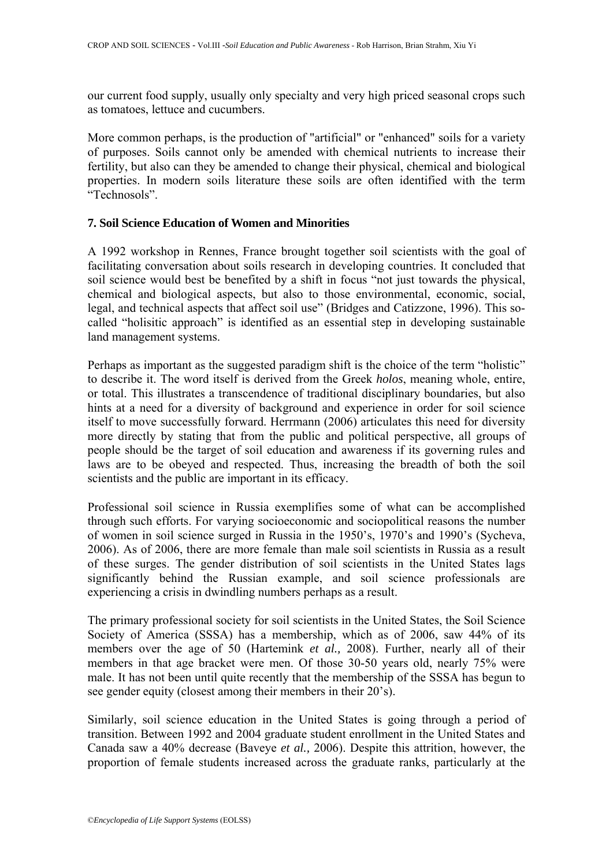our current food supply, usually only specialty and very high priced seasonal crops such as tomatoes, lettuce and cucumbers.

More common perhaps, is the production of "artificial" or "enhanced" soils for a variety of purposes. Soils cannot only be amended with chemical nutrients to increase their fertility, but also can they be amended to change their physical, chemical and biological properties. In modern soils literature these soils are often identified with the term "Technosols".

## **7. Soil Science Education of Women and Minorities**

A 1992 workshop in Rennes, France brought together soil scientists with the goal of facilitating conversation about soils research in developing countries. It concluded that soil science would best be benefited by a shift in focus "not just towards the physical, chemical and biological aspects, but also to those environmental, economic, social, legal, and technical aspects that affect soil use" (Bridges and Catizzone, 1996). This socalled "holisitic approach" is identified as an essential step in developing sustainable land management systems.

Perhaps as important as the suggested paradigm shift is the choice of the term "holistic" to describe it. The word itself is derived from the Greek *holos*, meaning whole, entire, or total. This illustrates a transcendence of traditional disciplinary boundaries, but also hints at a need for a diversity of background and experience in order for soil science itself to move successfully forward. Herrmann (2006) articulates this need for diversity more directly by stating that from the public and political perspective, all groups of people should be the target of soil education and awareness if its governing rules and laws are to be obeyed and respected. Thus, increasing the breadth of both the soil scientists and the public are important in its efficacy.

Professional soil science in Russia exemplifies some of what can be accomplished through such efforts. For varying socioeconomic and sociopolitical reasons the number of women in soil science surged in Russia in the 1950's, 1970's and 1990's (Sycheva, 2006). As of 2006, there are more female than male soil scientists in Russia as a result of these surges. The gender distribution of soil scientists in the United States lags significantly behind the Russian example, and soil science professionals are experiencing a crisis in dwindling numbers perhaps as a result.

The primary professional society for soil scientists in the United States, the Soil Science Society of America (SSSA) has a membership, which as of 2006, saw 44% of its members over the age of 50 (Hartemink *et al.,* 2008). Further, nearly all of their members in that age bracket were men. Of those 30-50 years old, nearly 75% were male. It has not been until quite recently that the membership of the SSSA has begun to see gender equity (closest among their members in their 20's).

Similarly, soil science education in the United States is going through a period of transition. Between 1992 and 2004 graduate student enrollment in the United States and Canada saw a 40% decrease (Baveye *et al.,* 2006). Despite this attrition, however, the proportion of female students increased across the graduate ranks, particularly at the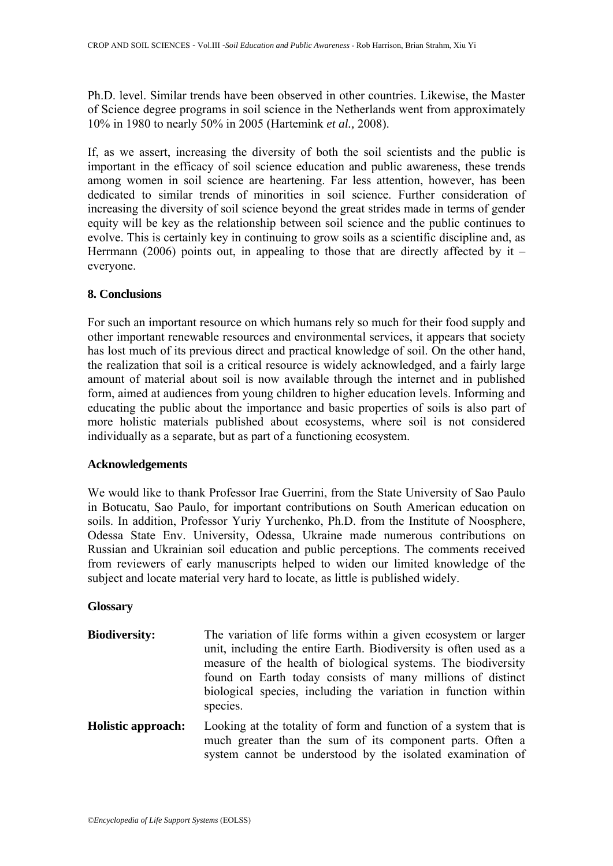Ph.D. level. Similar trends have been observed in other countries. Likewise, the Master of Science degree programs in soil science in the Netherlands went from approximately 10% in 1980 to nearly 50% in 2005 (Hartemink *et al.,* 2008).

If, as we assert, increasing the diversity of both the soil scientists and the public is important in the efficacy of soil science education and public awareness, these trends among women in soil science are heartening. Far less attention, however, has been dedicated to similar trends of minorities in soil science. Further consideration of increasing the diversity of soil science beyond the great strides made in terms of gender equity will be key as the relationship between soil science and the public continues to evolve. This is certainly key in continuing to grow soils as a scientific discipline and, as Herrmann (2006) points out, in appealing to those that are directly affected by it  $$ everyone.

## **8. Conclusions**

For such an important resource on which humans rely so much for their food supply and other important renewable resources and environmental services, it appears that society has lost much of its previous direct and practical knowledge of soil. On the other hand, the realization that soil is a critical resource is widely acknowledged, and a fairly large amount of material about soil is now available through the internet and in published form, aimed at audiences from young children to higher education levels. Informing and educating the public about the importance and basic properties of soils is also part of more holistic materials published about ecosystems, where soil is not considered individually as a separate, but as part of a functioning ecosystem.

### **Acknowledgements**

We would like to thank Professor Irae Guerrini, from the State University of Sao Paulo in Botucatu, Sao Paulo, for important contributions on South American education on soils. In addition, Professor Yuriy Yurchenko, Ph.D. from the Institute of Noosphere, Odessa State Env. University, Odessa, Ukraine made numerous contributions on Russian and Ukrainian soil education and public perceptions. The comments received from reviewers of early manuscripts helped to widen our limited knowledge of the subject and locate material very hard to locate, as little is published widely.

### **Glossary**

- **Biodiversity:** The variation of life forms within a given ecosystem or larger unit, including the entire Earth. Biodiversity is often used as a measure of the health of biological systems. The biodiversity found on Earth today consists of many millions of distinct biological species, including the variation in function within species.
- **Holistic approach:** Looking at the totality of form and function of a system that is much greater than the sum of its component parts. Often a system cannot be understood by the isolated examination of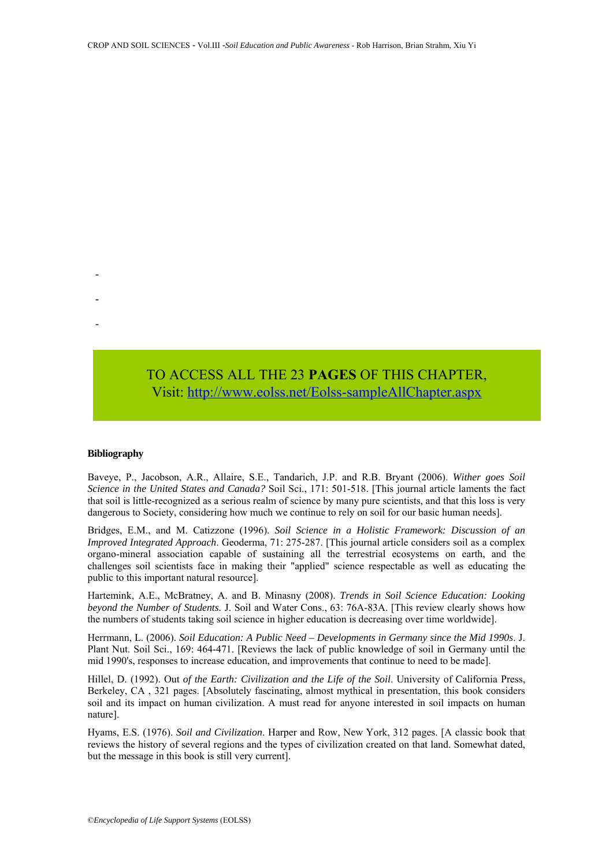**Terrestrial ecosystem:**  TO ACCESS ALL THE 23 PAGES OF THIS CHAPTER, Visi[t: http://www.eolss.net/Eolss-sampleAllChapter.aspx](https://www.eolss.net/ebooklib/sc_cart.aspx?File=E1-05A-37-00)

matter and energy between them found on the land.

successive approximations and improvements of the

#### **Bibliography**

-

-

-

Baveye, P., Jacobson, A.R., Allaire, S.E., Tandarich, J.P. and R.B. Bryant (2006). *Wither goes Soil Science in the United States and Canada?* Soil Sci., 171: 501-518. [This journal article laments the fact that soil is little-recognized as a serious realm of science by many pure scientists, and that this loss is very dangerous to Society, considering how much we continue to rely on soil for our basic human needs].

Bridges, E.M., and M. Catizzone (1996). *Soil Science in a Holistic Framework: Discussion of an Improved Integrated Approach*. Geoderma, 71: 275-287. [This journal article considers soil as a complex organo-mineral association capable of sustaining all the terrestrial ecosystems on earth, and the challenges soil scientists face in making their "applied" science respectable as well as educating the public to this important natural resource]. **TO ACCESS ALL THE 23 PAGES OF THIS CHAPTER,**<br>**Visit:** http://www.golss.net/Eolss-sampleAllChapter.aspx<br>
Bibliography<br>
Baveye, P., Jacobson, A.R., Allaire, S.E., Tandarich, J.P. and R.B. Bryant (2006). Wither<br>
Science in t

Hartemink, A.E., McBratney, A. and B. Minasny (2008). *Trends in Soil Science Education: Looking beyond the Number of Students.* J. Soil and Water Cons., 63: 76A-83A. [This review clearly shows how the numbers of students taking soil science in higher education is decreasing over time worldwide].

Herrmann, L. (2006). *Soil Education: A Public Need – Developments in Germany since the Mid 1990s*. J. Plant Nut. Soil Sci., 169: 464-471. [Reviews the lack of public knowledge of soil in Germany until the mid 1990's, responses to increase education, and improvements that continue to need to be made].

Hillel, D. (1992). Out *of the Earth: Civilization and the Life of the Soil*. University of California Press, Berkeley, CA , 321 pages. [Absolutely fascinating, almost mythical in presentation, this book considers soil and its impact on human civilization. A must read for anyone interested in soil impacts on human nature].

Hyams, E.S. (1976). *Soil and Civilization*. Harper and Row, New York, 312 pages. [A classic book that reviews the history of several regions and the types of civilization created on that land. Somewhat dated, but the message in this book is still very current].